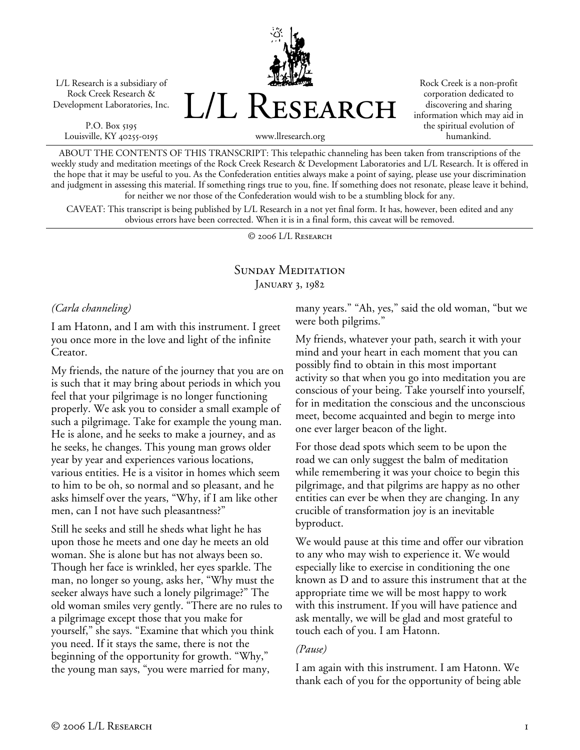L/L Research is a subsidiary of Rock Creek Research & Development Laboratories, Inc.

P.O. Box 5195 Louisville, KY 40255-0195 L/L Research

Rock Creek is a non-profit corporation dedicated to discovering and sharing information which may aid in the spiritual evolution of humankind.

www.llresearch.org

ABOUT THE CONTENTS OF THIS TRANSCRIPT: This telepathic channeling has been taken from transcriptions of the weekly study and meditation meetings of the Rock Creek Research & Development Laboratories and L/L Research. It is offered in the hope that it may be useful to you. As the Confederation entities always make a point of saying, please use your discrimination and judgment in assessing this material. If something rings true to you, fine. If something does not resonate, please leave it behind, for neither we nor those of the Confederation would wish to be a stumbling block for any.

CAVEAT: This transcript is being published by L/L Research in a not yet final form. It has, however, been edited and any obvious errors have been corrected. When it is in a final form, this caveat will be removed.

© 2006 L/L Research

## SUNDAY MEDITATION JANUARY 3, 1982

*(Carla channeling)* 

I am Hatonn, and I am with this instrument. I greet you once more in the love and light of the infinite Creator.

My friends, the nature of the journey that you are on is such that it may bring about periods in which you feel that your pilgrimage is no longer functioning properly. We ask you to consider a small example of such a pilgrimage. Take for example the young man. He is alone, and he seeks to make a journey, and as he seeks, he changes. This young man grows older year by year and experiences various locations, various entities. He is a visitor in homes which seem to him to be oh, so normal and so pleasant, and he asks himself over the years, "Why, if I am like other men, can I not have such pleasantness?"

Still he seeks and still he sheds what light he has upon those he meets and one day he meets an old woman. She is alone but has not always been so. Though her face is wrinkled, her eyes sparkle. The man, no longer so young, asks her, "Why must the seeker always have such a lonely pilgrimage?" The old woman smiles very gently. "There are no rules to a pilgrimage except those that you make for yourself," she says. "Examine that which you think you need. If it stays the same, there is not the beginning of the opportunity for growth. "Why," the young man says, "you were married for many,

many years." "Ah, yes," said the old woman, "but we were both pilgrims."

My friends, whatever your path, search it with your mind and your heart in each moment that you can possibly find to obtain in this most important activity so that when you go into meditation you are conscious of your being. Take yourself into yourself, for in meditation the conscious and the unconscious meet, become acquainted and begin to merge into one ever larger beacon of the light.

For those dead spots which seem to be upon the road we can only suggest the balm of meditation while remembering it was your choice to begin this pilgrimage, and that pilgrims are happy as no other entities can ever be when they are changing. In any crucible of transformation joy is an inevitable byproduct.

We would pause at this time and offer our vibration to any who may wish to experience it. We would especially like to exercise in conditioning the one known as D and to assure this instrument that at the appropriate time we will be most happy to work with this instrument. If you will have patience and ask mentally, we will be glad and most grateful to touch each of you. I am Hatonn.

## *(Pause)*

I am again with this instrument. I am Hatonn. We thank each of you for the opportunity of being able